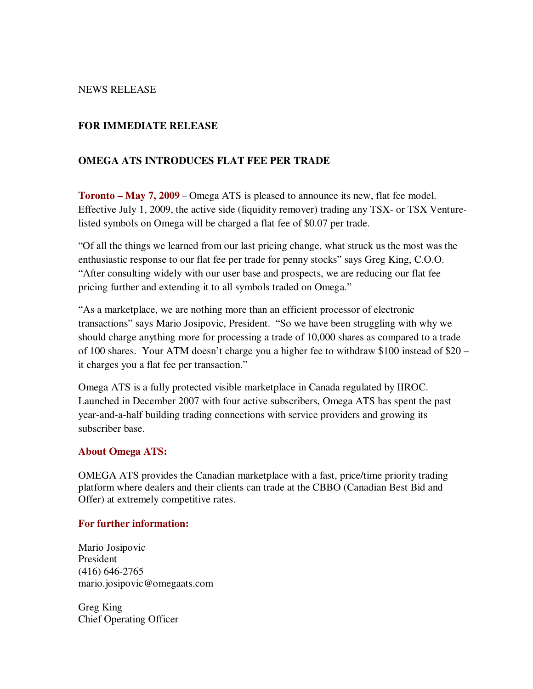### NEWS RELEASE

## **FOR IMMEDIATE RELEASE**

# **OMEGA ATS INTRODUCES FLAT FEE PER TRADE**

**Toronto – May 7, 2009** – Omega ATS is pleased to announce its new, flat fee model. Effective July 1, 2009, the active side (liquidity remover) trading any TSX- or TSX Venturelisted symbols on Omega will be charged a flat fee of \$0.07 per trade.

"Of all the things we learned from our last pricing change, what struck us the most was the enthusiastic response to our flat fee per trade for penny stocks" says Greg King, C.O.O. "After consulting widely with our user base and prospects, we are reducing our flat fee pricing further and extending it to all symbols traded on Omega."

"As a marketplace, we are nothing more than an efficient processor of electronic transactions" says Mario Josipovic, President. "So we have been struggling with why we should charge anything more for processing a trade of 10,000 shares as compared to a trade of 100 shares. Your ATM doesn't charge you a higher fee to withdraw \$100 instead of \$20 – it charges you a flat fee per transaction."

Omega ATS is a fully protected visible marketplace in Canada regulated by IIROC. Launched in December 2007 with four active subscribers, Omega ATS has spent the past year-and-a-half building trading connections with service providers and growing its subscriber base.

### **About Omega ATS:**

OMEGA ATS provides the Canadian marketplace with a fast, price/time priority trading platform where dealers and their clients can trade at the CBBO (Canadian Best Bid and Offer) at extremely competitive rates.

### **For further information:**

Mario Josipovic President (416) 646-2765 mario.josipovic@omegaats.com

Greg King Chief Operating Officer